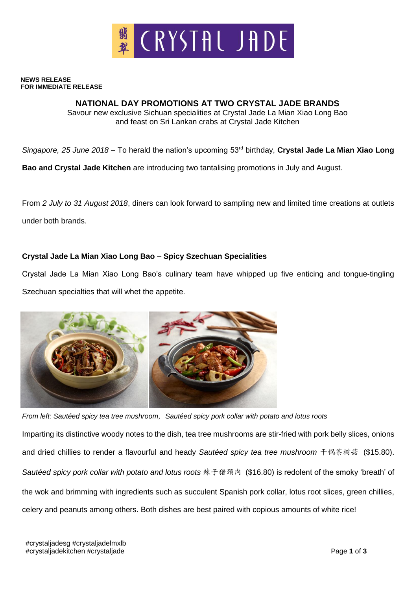

## **NEWS RELEASE FOR IMMEDIATE RELEASE**

## **NATIONAL DAY PROMOTIONS AT TWO CRYSTAL JADE BRANDS**

Savour new exclusive Sichuan specialities at Crystal Jade La Mian Xiao Long Bao and feast on Sri Lankan crabs at Crystal Jade Kitchen

*Singapore, 25 June 2018* – To herald the nation's upcoming 53rd birthday, **Crystal Jade La Mian Xiao Long** 

**Bao and Crystal Jade Kitchen** are introducing two tantalising promotions in July and August.

From *2 July to 31 August 2018*, diners can look forward to sampling new and limited time creations at outlets under both brands.

## **Crystal Jade La Mian Xiao Long Bao – Spicy Szechuan Specialities**

Crystal Jade La Mian Xiao Long Bao's culinary team have whipped up five enticing and tongue-tingling Szechuan specialties that will whet the appetite.



*From left: Sautéed spicy tea tree mushroom*, *Sautéed spicy pork collar with potato and lotus roots* Imparting its distinctive woody notes to the dish, tea tree mushrooms are stir-fried with pork belly slices, onions and dried chillies to render a flavourful and heady *Sautéed spicy tea tree mushroom* 干锅茶树菇 (\$15.80). *Sautéed spicy pork collar with potato and lotus roots* 辣子猪颈肉 (\$16.80) is redolent of the smoky 'breath' of the wok and brimming with ingredients such as succulent Spanish pork collar, lotus root slices, green chillies, celery and peanuts among others. Both dishes are best paired with copious amounts of white rice!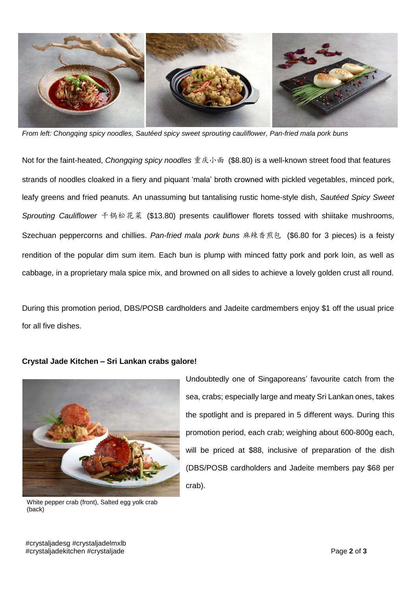

*From left: Chongqing spicy noodles, Sautéed spicy sweet sprouting cauliflower, Pan-fried mala pork buns*

Not for the faint-heated, *Chongqing spicy noodles* 重庆小面 (\$8.80) is a well-known street food that features strands of noodles cloaked in a fiery and piquant 'mala' broth crowned with pickled vegetables, minced pork, leafy greens and fried peanuts. An unassuming but tantalising rustic home-style dish, *Sautéed Spicy Sweet Sprouting Cauliflower* 干锅松花菜 (\$13.80) presents cauliflower florets tossed with shiitake mushrooms, Szechuan peppercorns and chillies. *Pan-fried mala pork buns* 麻辣香煎包 (\$6.80 for 3 pieces) is a feisty rendition of the popular dim sum item. Each bun is plump with minced fatty pork and pork loin, as well as cabbage, in a proprietary mala spice mix, and browned on all sides to achieve a lovely golden crust all round.

During this promotion period, DBS/POSB cardholders and Jadeite cardmembers enjoy \$1 off the usual price for all five dishes.



**Crystal Jade Kitchen – Sri Lankan crabs galore!**

White pepper crab (front), Salted egg yolk crab (back)

Undoubtedly one of Singaporeans' favourite catch from the sea, crabs; especially large and meaty Sri Lankan ones, takes the spotlight and is prepared in 5 different ways. During this promotion period, each crab; weighing about 600-800g each, will be priced at \$88, inclusive of preparation of the dish (DBS/POSB cardholders and Jadeite members pay \$68 per crab).